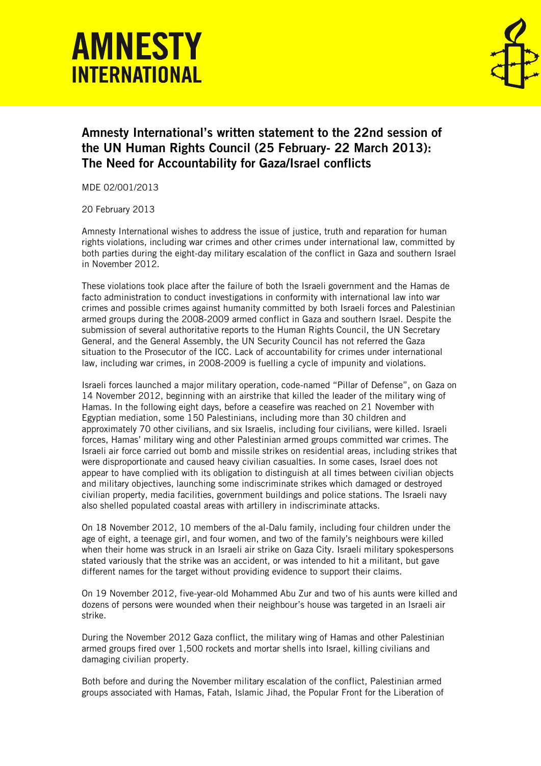## **AMNESTY INTFRNATIONAL**



## Amnesty International's written statement to the 22nd session of the UN Human Rights Council (25 February- 22 March 2013): The Need for Accountability for Gaza/Israel conflicts

MDE 02/001/2013

20 February 2013

Amnesty International wishes to address the issue of justice, truth and reparation for human rights violations, including war crimes and other crimes under international law, committed by both parties during the eight-day military escalation of the conflict in Gaza and southern Israel in November 2012.

These violations took place after the failure of both the Israeli government and the Hamas de facto administration to conduct investigations in conformity with international law into war crimes and possible crimes against humanity committed by both Israeli forces and Palestinian armed groups during the 2008-2009 armed conflict in Gaza and southern Israel. Despite the submission of several authoritative reports to the Human Rights Council, the UN Secretary General, and the General Assembly, the UN Security Council has not referred the Gaza situation to the Prosecutor of the ICC. Lack of accountability for crimes under international law, including war crimes, in 2008-2009 is fuelling a cycle of impunity and violations.

Israeli forces launched a major military operation, code-named "Pillar of Defense", on Gaza on 14 November 2012, beginning with an airstrike that killed the leader of the military wing of Hamas. In the following eight days, before a ceasefire was reached on 21 November with Egyptian mediation, some 150 Palestinians, including more than 30 children and approximately 70 other civilians, and six Israelis, including four civilians, were killed. Israeli forces, Hamas' military wing and other Palestinian armed groups committed war crimes. The Israeli air force carried out bomb and missile strikes on residential areas, including strikes that were disproportionate and caused heavy civilian casualties. In some cases, Israel does not appear to have complied with its obligation to distinguish at all times between civilian objects and military objectives, launching some indiscriminate strikes which damaged or destroyed civilian property, media facilities, government buildings and police stations. The Israeli navy also shelled populated coastal areas with artillery in indiscriminate attacks.

On 18 November 2012, 10 members of the al-Dalu family, including four children under the age of eight, a teenage girl, and four women, and two of the family's neighbours were killed when their home was struck in an Israeli air strike on Gaza City. Israeli military spokespersons stated variously that the strike was an accident, or was intended to hit a militant, but gave different names for the target without providing evidence to support their claims.

On 19 November 2012, five-year-old Mohammed Abu Zur and two of his aunts were killed and dozens of persons were wounded when their neighbour's house was targeted in an Israeli air strike.

During the November 2012 Gaza conflict, the military wing of Hamas and other Palestinian armed groups fired over 1,500 rockets and mortar shells into Israel, killing civilians and damaging civilian property.

Both before and during the November military escalation of the conflict, Palestinian armed groups associated with Hamas, Fatah, Islamic Jihad, the Popular Front for the Liberation of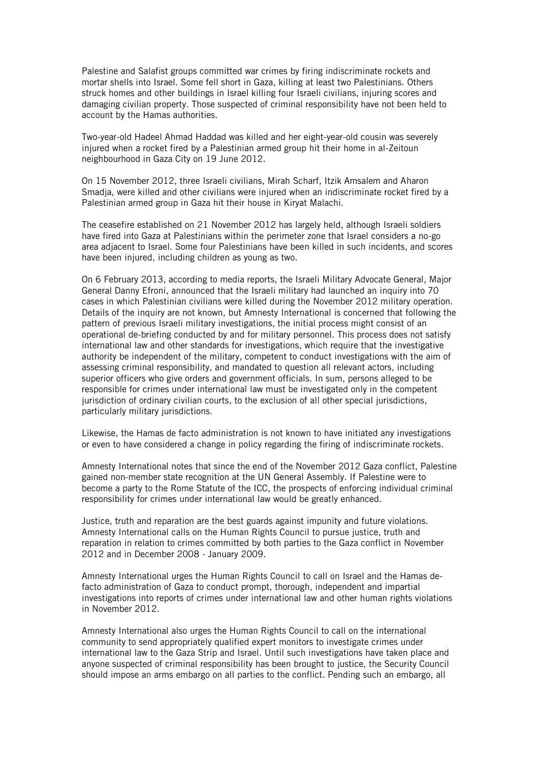Palestine and Salafist groups committed war crimes by firing indiscriminate rockets and mortar shells into Israel. Some fell short in Gaza, killing at least two Palestinians. Others struck homes and other buildings in Israel killing four Israeli civilians, injuring scores and damaging civilian property. Those suspected of criminal responsibility have not been held to account by the Hamas authorities.

Two-year-old Hadeel Ahmad Haddad was killed and her eight-year-old cousin was severely injured when a rocket fired by a Palestinian armed group hit their home in al-Zeitoun neighbourhood in Gaza City on 19 June 2012.

On 15 November 2012, three Israeli civilians, Mirah Scharf, Itzik Amsalem and Aharon Smadja, were killed and other civilians were injured when an indiscriminate rocket fired by a Palestinian armed group in Gaza hit their house in Kiryat Malachi.

The ceasefire established on 21 November 2012 has largely held, although Israeli soldiers have fired into Gaza at Palestinians within the perimeter zone that Israel considers a no-go area adjacent to Israel. Some four Palestinians have been killed in such incidents, and scores have been injured, including children as young as two.

On 6 February 2013, according to media reports, the Israeli Military Advocate General, Major General Danny Efroni, announced that the Israeli military had launched an inquiry into 70 cases in which Palestinian civilians were killed during the November 2012 military operation. Details of the inquiry are not known, but Amnesty International is concerned that following the pattern of previous Israeli military investigations, the initial process might consist of an operational de-briefing conducted by and for military personnel. This process does not satisfy international law and other standards for investigations, which require that the investigative authority be independent of the military, competent to conduct investigations with the aim of assessing criminal responsibility, and mandated to question all relevant actors, including superior officers who give orders and government officials. In sum, persons alleged to be responsible for crimes under international law must be investigated only in the competent jurisdiction of ordinary civilian courts, to the exclusion of all other special jurisdictions, particularly military jurisdictions.

Likewise, the Hamas de facto administration is not known to have initiated any investigations or even to have considered a change in policy regarding the firing of indiscriminate rockets.

Amnesty International notes that since the end of the November 2012 Gaza conflict, Palestine gained non-member state recognition at the UN General Assembly. If Palestine were to become a party to the Rome Statute of the ICC, the prospects of enforcing individual criminal responsibility for crimes under international law would be greatly enhanced.

Justice, truth and reparation are the best guards against impunity and future violations. Amnesty International calls on the Human Rights Council to pursue justice, truth and reparation in relation to crimes committed by both parties to the Gaza conflict in November 2012 and in December 2008 - January 2009.

Amnesty International urges the Human Rights Council to call on Israel and the Hamas defacto administration of Gaza to conduct prompt, thorough, independent and impartial investigations into reports of crimes under international law and other human rights violations in November 2012.

Amnesty International also urges the Human Rights Council to call on the international community to send appropriately qualified expert monitors to investigate crimes under international law to the Gaza Strip and Israel. Until such investigations have taken place and anyone suspected of criminal responsibility has been brought to justice, the Security Council should impose an arms embargo on all parties to the conflict. Pending such an embargo, all